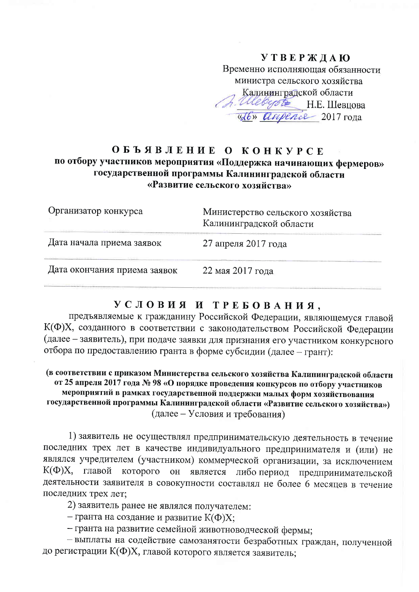### **УТВЕРЖДАЮ** Временно исполняющая обязанности министра сельского хозяйства Калининградской области *A. Allebegote* H.E. Шевцова <u>«Ю» апрелее</u> 2017 года

### ОБЪЯВЛЕНИЕ О КОНКУРСЕ по отбору участников мероприятия «Поддержка начинающих фермеров» государственной программы Калининградской области «Развитие сельского хозяйства»

| Организатор конкурса         | Министерство сельского хозяйства<br>Калининградской области |  |
|------------------------------|-------------------------------------------------------------|--|
| Дата начала приема заявок    | 27 апреля 2017 года                                         |  |
| Дата окончания приема заявок | 22 мая 2017 года                                            |  |

#### УСЛОВИЯ И ТРЕБОВАНИЯ.

предъявляемые к гражданину Российской Федерации, являющемуся главой К(Ф)Х, созданного в соответствии с законодательством Российской Федерации (далее - заявитель), при подаче заявки для признания его участником конкурсного отбора по предоставлению гранта в форме субсидии (далее - грант):

(в соответствии с приказом Министерства сельского хозяйства Калининградской области от 25 апреля 2017 года № 98 «О порядке проведения конкурсов по отбору участников мероприятий в рамках государственной поддержки малых форм хозяйствования государственной программы Калининградской области «Развитие сельского хозяйства») (далее – Условия и требования)

1) заявитель не осуществлял предпринимательскую деятельность в течение последних трех лет в качестве индивидуального предпринимателя и (или) не являлся учредителем (участником) коммерческой организации, за исключением К(Ф)Х, главой которого он является либо период предпринимательской деятельности заявителя в совокупности составлял не более 6 месяцев в течение последних трех лет;

2) заявитель ранее не являлся получателем:

- гранта на создание и развитие  $K(\Phi)X;$ 

- гранта на развитие семейной животноводческой фермы;

- выплаты на содействие самозанятости безработных граждан, полученной до регистрации К(Ф)Х, главой которого является заявитель;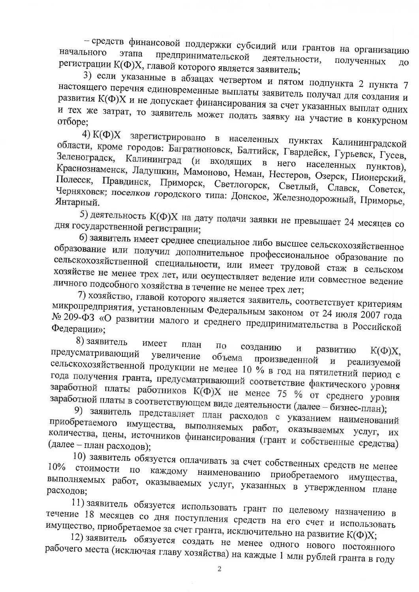- средств финансовой поддержки субсидий или грантов на организацию начального этапа предпринимательской деятельности, полученных регистрации К(Ф)Х, главой которого является заявитель; ДО

3) если указанные в абзацах четвертом и пятом подпункта 2 пункта 7 настоящего перечня единовременные выплаты заявитель получал для создания и развития К(Ф)Х и не допускает финансирования за счет указанных выплат одних и тех же затрат, то заявитель может подать заявку на участие в конкурсном отборе;

4) К(Ф)Х зарегистрировано в населенных пунктах Калининградской области, кроме городов: Багратионовск, Балтийск, Гвардейск, Гурьевск, Гусев, Зеленоградск, Калининград (и входящих в него населенных Краснознаменск, Ладушкин, Мамоново, Неман, Нестеров, Озерск, Пионерский, Полесск, Правдинск, Приморск, Светлогорск, Светлый, Славск, Советск, Черняховск; поселков городского типа: Донское, Железнодорожный, Приморье, Янтарный.

5) деятельность К(Ф)Х на дату подачи заявки не превышает 24 месяцев со дня государственной регистрации;

6) заявитель имеет среднее специальное либо высшее сельскохозяйственное образование или получил дополнительное профессиональное образование по сельскохозяйственной специальности, или имеет трудовой стаж в сельском хозяйстве не менее трех лет, или осуществляет ведение или совместное ведение личного подсобного хозяйства в течение не менее трех лет;

7) хозяйство, главой которого является заявитель, соответствует критериям микропредприятия, установленным Федеральным законом от 24 июля 2007 года № 209-ФЗ «О развитии малого и среднего предпринимательства в Российской Федерации»;

8) заявитель имеет план ПО созданию И развитию  $K(\Phi)X$ . предусматривающий увеличение объема произведенной И реализуемой сельскохозяйственной продукции не менее 10 % в год на пятилетний период с года получения гранта, предусматривающий соответствие фактического уровня заработной платы работников К(Ф)Х не менее 75 % от среднего уровня заработной платы в соответствующем виде деятельности (далее - бизнес-план);

9) заявитель представляет план расходов с указанием наименований приобретаемого имущества, выполняемых работ, оказываемых услуг, их количества, цены, источников финансирования (грант и собственные средства) (далее - план расходов);

10) заявитель обязуется оплачивать за счет собственных средств не менее  $10%$ стоимости  $\Pi$ O каждому наименованию приобретаемого имущества, выполняемых работ, оказываемых услуг, указанных в утвержденном плане расходов;

11) заявитель обязуется использовать грант по целевому назначению в течение 18 месяцев со дня поступления средств на его счет и использовать имущество, приобретаемое за счет гранта, исключительно на развитие К(Ф)Х;

12) заявитель обязуется создать не менее одного нового постоянного рабочего места (исключая главу хозяйства) на каждые 1 млн рублей гранта в году

 $\overline{2}$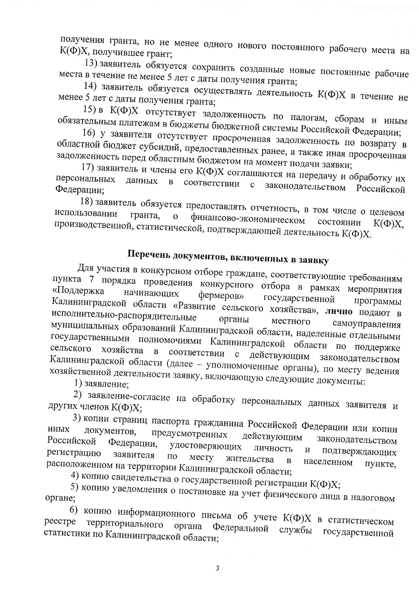получения гранта, но не менее одного нового постоянного рабочего места на К(Ф)Х, получившее грант;

13) заявитель обязуется сохранить созданные новые постоянные рабочие места в течение не менее 5 лет с даты получения гранта;

14) заявитель обязуется осуществлять деятельность К(Ф)Х в течение не менее 5 лет с даты получения гранта;

15) в К(Ф)Х отсутствует задолженность по налогам, сборам и иным обязательным платежам в бюджеты бюджетной системы Российской Федерации;

16) у заявителя отсутствует просроченная задолженность по возврату в областной бюджет субсидий, предоставленных ранее, а также иная просроченная задолженность перед областным бюджетом на момент подачи заявки;

17) заявитель и члены его К(Ф)Х соглашаются на передачу и обработку их персональных данных соответствии с  $\mathbf{B}$ законодательством Российской Федерации;

18) заявитель обязуется предоставлять отчетность, в том числе о целевом использовании гранта, финансово-экономическом  $\overline{O}$ производственной, статистической, подтверждающей деятельность К(Ф)Х. состоянии  $K(\Phi)X$ .

## Перечень документов, включенных в заявку

Для участия в конкурсном отборе граждане, соответствующие требованиям пункта 7 порядка проведения конкурсного отбора в рамках мероприятия начинающих фермеров» государственной Калининградской области «Развитие сельского хозяйства», лично подают в исполнительно-распорядительные органы местного муниципальных образований Калининградской области, наделенные отдельными самоуправления государственными полномочиями Калининградской области по поддержке сельского хозяйства соответствии  $\overline{B}$ с действующим законодательством Калининградской области (далее - уполномоченные органы), по месту ведения хозяйственной деятельности заявку, включающую следующие документы:

1) заявление:

2) заявление-согласие на обработку персональных данных заявителя и других членов К(Ф)Х;

3) копии страниц паспорта гражданина Российской Федерации или копии ИНЫХ документов. предусмотренных действующим законодательством Российской Федерации, удостоверяющих личность подтверждающих  $\boldsymbol{\mathrm{M}}$ регистрацию заявителя  $\Pi{\rm O}$ месту жительства  $\overline{B}$ населенном расположенном на территории Калининградской области; пункте.

4) копию свидетельства о государственной регистрации К(Ф)Х;

5) копию уведомления о постановке на учет физического лица в налоговом органе;

6) копию информационного письма об учете К(Ф)Х в статистическом территориального реестре Федеральной органа службы государственной статистики по Калининградской области;

 $\overline{3}$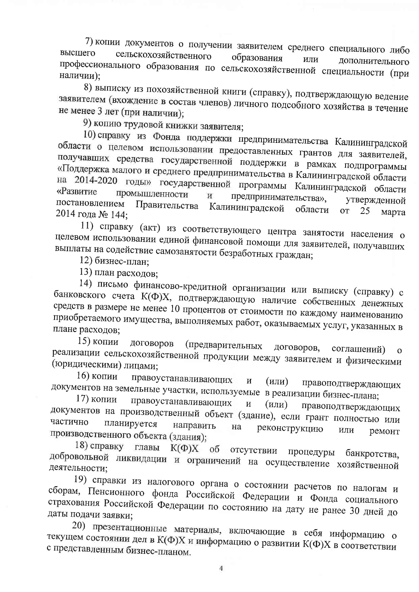7) копии документов о получении заявителем среднего специального либо сельскохозяйственного высшего образования ИЛИ дополнительного профессионального образования по сельскохозяйственной специальности (при наличии):

8) выписку из похозяйственной книги (справку), подтверждающую ведение заявителем (вхождение в состав членов) личного подсобного хозяйства в течение не менее 3 лет (при наличии);

9) копию трудовой книжки заявителя;

10) справку из Фонда поддержки предпринимательства Калининградской области о целевом использовании предоставленных грантов для заявителей, получавших средства государственной поддержки в рамках подпрограммы «Поддержка малого и среднего предпринимательства в Калининградской области на 2014-2020 годы» государственной программы Калининградской области «Развитие промышленности предпринимательства»,  $\,$  M утвержденной постановлением Правительства Калининградской области **OT** 25 марта 2014 года № 144;

11) справку (акт) из соответствующего центра занятости населения о целевом использовании единой финансовой помощи для заявителей, получавших выплаты на содействие самозанятости безработных граждан;

12) бизнес-план;

13) план расходов;

14) письмо финансово-кредитной организации или выписку (справку) с банковского счета К(Ф)Х, подтверждающую наличие собственных денежных средств в размере не менее 10 процентов от стоимости по каждому наименованию приобретаемого имущества, выполняемых работ, оказываемых услуг, указанных в плане расходов;

15) копии договоров (предварительных договоров, соглашений) реализации сельскохозяйственной продукции между заявителем и физическими (юридическими) лицами;

16) копии правоустанавливающих  $\overline{\mathbf{M}}$  $(M<sub>IM</sub>)$ правоподтверждающих документов на земельные участки, используемые в реализации бизнес-плана;

17) копии правоустанавливающих  $\overline{\mathbf{M}}$  $(MIM)$ правоподтверждающих документов на производственный объект (здание), если грант полностью или частично планируется направить реконструкцию на ИЛИ производственного объекта (здания); ремонт

18) справку главы  $K(\Phi)X$ об отсутствии процедуры банкротства, добровольной ликвидации и ограничений на осуществление хозяйственной деятельности;

19) справки из налогового органа о состоянии расчетов по налогам и сборам, Пенсионного фонда Российской Федерации и Фонда социального страхования Российской Федерации по состоянию на дату не ранее 30 дней до даты подачи заявки;

20) презентационные материалы, включающие в себя информацию о текущем состоянии дел в К(Ф)Х и информацию о развитии К(Ф)Х в соответствии с представленным бизнес-планом.

 $\overline{4}$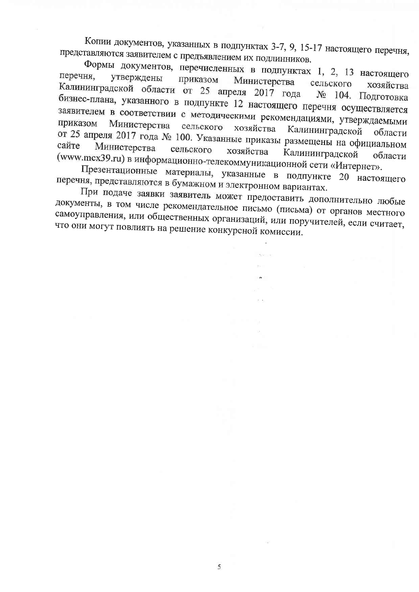Копии документов, указанных в подпунктах 3-7, 9, 15-17 настоящего перечня, представляются заявителем с предъявлением их подлинников.

Формы документов, перечисленных в подпунктах 1, 2, 13 настоящего перечня, утверждены приказом Министерства сельского хозяйства Калининградской области от 25 апреля 2017 года № 104. Подготовка бизнес-плана, указанного в подпункте 12 настоящего перечня осуществляется заявителем в соответствии с методическими рекомендациями, утверждаемыми Министерства сельского хозяйства Калининградской области от 25 апреля 2017 года № 100. Указанные приказы размещены на официальном Министерства сельского хозяйства Калининградской (www.mcx39.ru) в информационно-телекоммуникационной сети «Интернет». области

Презентационные материалы, указанные в подпункте 20 настоящего перечня, представляются в бумажном и электронном вариантах.

При подаче заявки заявитель может предоставить дополнительно любые документы, в том числе рекомендательное письмо (письма) от органов местного самоуправления, или общественных организаций, или поручителей, если считает, что они могут повлиять на решение конкурсной комиссии.